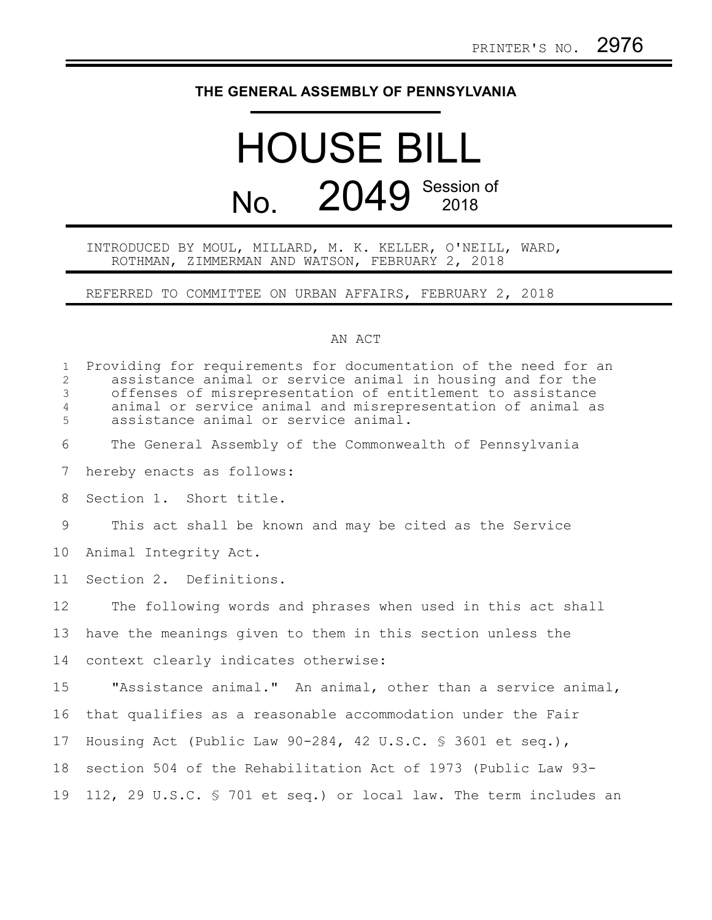## **THE GENERAL ASSEMBLY OF PENNSYLVANIA**

## HOUSE BILL No. 2049 Session of

## INTRODUCED BY MOUL, MILLARD, M. K. KELLER, O'NEILL, WARD, ROTHMAN, ZIMMERMAN AND WATSON, FEBRUARY 2, 2018

REFERRED TO COMMITTEE ON URBAN AFFAIRS, FEBRUARY 2, 2018

## AN ACT

| $\mathbf{1}$<br>$\overline{2}$<br>3<br>$\overline{4}$<br>5 | Providing for requirements for documentation of the need for an<br>assistance animal or service animal in housing and for the<br>offenses of misrepresentation of entitlement to assistance<br>animal or service animal and misrepresentation of animal as<br>assistance animal or service animal. |
|------------------------------------------------------------|----------------------------------------------------------------------------------------------------------------------------------------------------------------------------------------------------------------------------------------------------------------------------------------------------|
| 6                                                          | The General Assembly of the Commonwealth of Pennsylvania                                                                                                                                                                                                                                           |
| 7                                                          | hereby enacts as follows:                                                                                                                                                                                                                                                                          |
| 8                                                          | Section 1. Short title.                                                                                                                                                                                                                                                                            |
| 9                                                          | This act shall be known and may be cited as the Service                                                                                                                                                                                                                                            |
| 10                                                         | Animal Integrity Act.                                                                                                                                                                                                                                                                              |
| 11                                                         | Section 2. Definitions.                                                                                                                                                                                                                                                                            |
| 12                                                         | The following words and phrases when used in this act shall                                                                                                                                                                                                                                        |
| 13                                                         | have the meanings given to them in this section unless the                                                                                                                                                                                                                                         |
| 14                                                         | context clearly indicates otherwise:                                                                                                                                                                                                                                                               |
| 15                                                         | "Assistance animal." An animal, other than a service animal,                                                                                                                                                                                                                                       |
| 16                                                         | that qualifies as a reasonable accommodation under the Fair                                                                                                                                                                                                                                        |
| 17                                                         | Housing Act (Public Law $90-284$ , 42 U.S.C. § 3601 et seq.),                                                                                                                                                                                                                                      |
| 18                                                         | section 504 of the Rehabilitation Act of 1973 (Public Law 93-                                                                                                                                                                                                                                      |
| 19                                                         | 112, 29 U.S.C. § 701 et seq.) or local law. The term includes an                                                                                                                                                                                                                                   |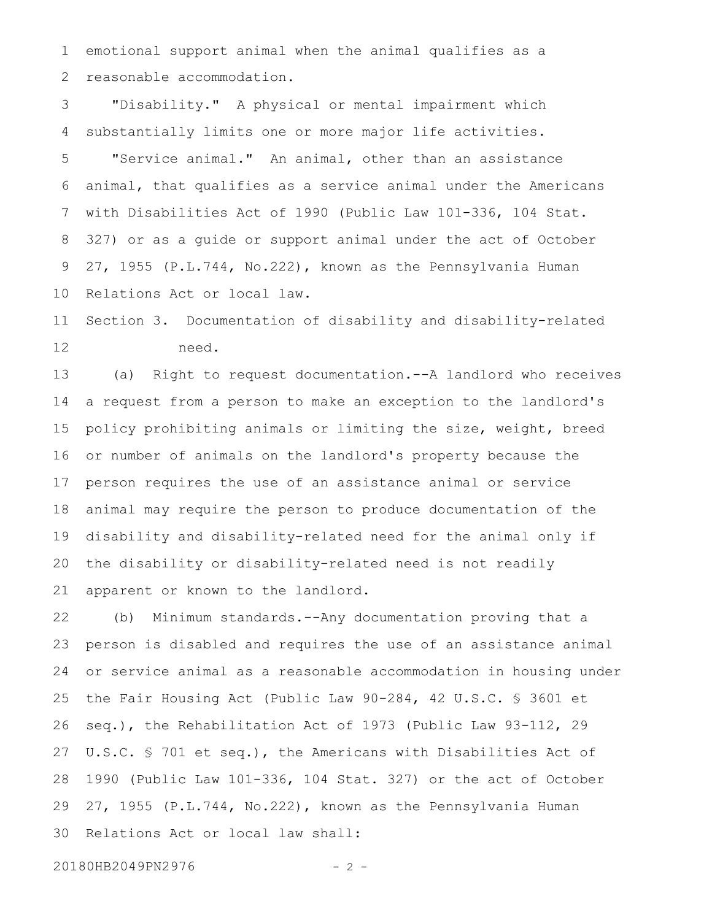emotional support animal when the animal qualifies as a reasonable accommodation. 1 2

"Disability." A physical or mental impairment which substantially limits one or more major life activities. 3 4

"Service animal." An animal, other than an assistance animal, that qualifies as a service animal under the Americans with Disabilities Act of 1990 (Public Law 101-336, 104 Stat. 327) or as a guide or support animal under the act of October 27, 1955 (P.L.744, No.222), known as the Pennsylvania Human Relations Act or local law. 5 6 7 8 9 10

Section 3. Documentation of disability and disability-related need. 11 12

(a) Right to request documentation.--A landlord who receives a request from a person to make an exception to the landlord's policy prohibiting animals or limiting the size, weight, breed or number of animals on the landlord's property because the person requires the use of an assistance animal or service animal may require the person to produce documentation of the disability and disability-related need for the animal only if the disability or disability-related need is not readily apparent or known to the landlord. 13 14 15 16 17 18 19 20 21

(b) Minimum standards.--Any documentation proving that a person is disabled and requires the use of an assistance animal or service animal as a reasonable accommodation in housing under the Fair Housing Act (Public Law 90-284, 42 U.S.C. § 3601 et seq.), the Rehabilitation Act of 1973 (Public Law 93-112, 29 U.S.C. § 701 et seq.), the Americans with Disabilities Act of 1990 (Public Law 101-336, 104 Stat. 327) or the act of October 27, 1955 (P.L.744, No.222), known as the Pennsylvania Human Relations Act or local law shall: 22 23 24 25 26 27 28 29 30

20180HB2049PN2976 - 2 -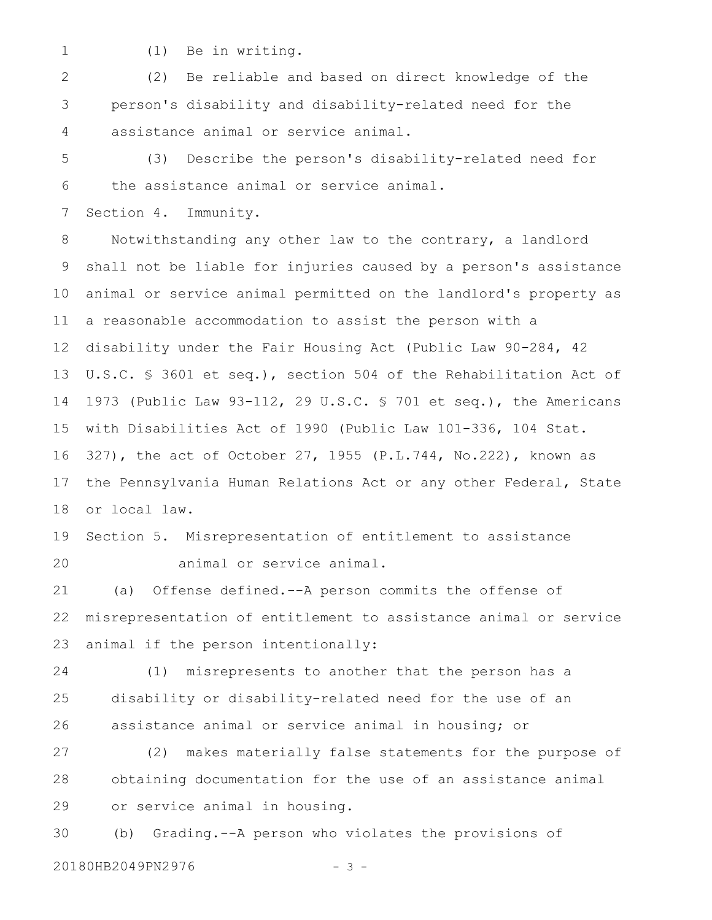- 1
- (1) Be in writing.

(2) Be reliable and based on direct knowledge of the person's disability and disability-related need for the assistance animal or service animal. 2 3 4

(3) Describe the person's disability-related need for the assistance animal or service animal. 5 6

Section 4. Immunity. 7

Notwithstanding any other law to the contrary, a landlord shall not be liable for injuries caused by a person's assistance animal or service animal permitted on the landlord's property as a reasonable accommodation to assist the person with a disability under the Fair Housing Act (Public Law 90-284, 42 U.S.C. § 3601 et seq.), section 504 of the Rehabilitation Act of 1973 (Public Law 93-112, 29 U.S.C. § 701 et seq.), the Americans with Disabilities Act of 1990 (Public Law 101-336, 104 Stat. 327), the act of October 27, 1955 (P.L.744, No.222), known as the Pennsylvania Human Relations Act or any other Federal, State or local law. 8 9 10 11 12 13 14 15 16 17 18

Section 5. Misrepresentation of entitlement to assistance animal or service animal. 19 20

(a) Offense defined.--A person commits the offense of misrepresentation of entitlement to assistance animal or service animal if the person intentionally: 21 22 23

(1) misrepresents to another that the person has a disability or disability-related need for the use of an assistance animal or service animal in housing; or 24 25 26

(2) makes materially false statements for the purpose of obtaining documentation for the use of an assistance animal or service animal in housing. 27 28 29

(b) Grading.--A person who violates the provisions of 20180HB2049PN2976 - 3 -30